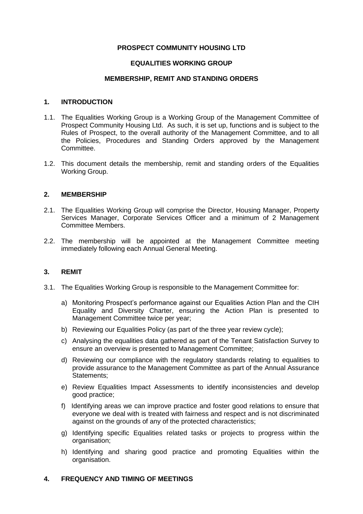## **PROSPECT COMMUNITY HOUSING LTD**

## **EQUALITIES WORKING GROUP**

#### **MEMBERSHIP, REMIT AND STANDING ORDERS**

#### **1. INTRODUCTION**

- 1.1. The Equalities Working Group is a Working Group of the Management Committee of Prospect Community Housing Ltd. As such, it is set up, functions and is subject to the Rules of Prospect, to the overall authority of the Management Committee, and to all the Policies, Procedures and Standing Orders approved by the Management Committee.
- 1.2. This document details the membership, remit and standing orders of the Equalities Working Group.

## **2. MEMBERSHIP**

- 2.1. The Equalities Working Group will comprise the Director, Housing Manager, Property Services Manager, Corporate Services Officer and a minimum of 2 Management Committee Members.
- 2.2. The membership will be appointed at the Management Committee meeting immediately following each Annual General Meeting.

# **3. REMIT**

- 3.1. The Equalities Working Group is responsible to the Management Committee for:
	- a) Monitoring Prospect's performance against our Equalities Action Plan and the CIH Equality and Diversity Charter, ensuring the Action Plan is presented to Management Committee twice per year;
	- b) Reviewing our Equalities Policy (as part of the three year review cycle);
	- c) Analysing the equalities data gathered as part of the Tenant Satisfaction Survey to ensure an overview is presented to Management Committee;
	- d) Reviewing our compliance with the regulatory standards relating to equalities to provide assurance to the Management Committee as part of the Annual Assurance Statements;
	- e) Review Equalities Impact Assessments to identify inconsistencies and develop good practice;
	- f) Identifying areas we can improve practice and foster good relations to ensure that everyone we deal with is treated with fairness and respect and is not discriminated against on the grounds of any of the protected characteristics;
	- g) Identifying specific Equalities related tasks or projects to progress within the organisation;
	- h) Identifying and sharing good practice and promoting Equalities within the organisation.

## **4. FREQUENCY AND TIMING OF MEETINGS**